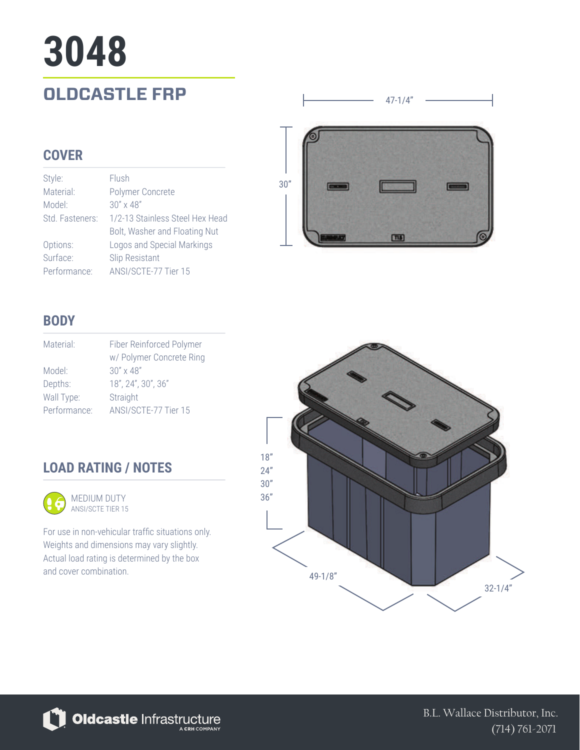# **3048**

### **OLDCASTLE FRP**

#### **COVER**

| Style:          | Flush                           |
|-----------------|---------------------------------|
| Material:       | Polymer Concrete                |
| Model:          | $30'' \times 48''$              |
| Std. Fasteners: | 1/2-13 Stainless Steel Hex Head |
|                 | Bolt, Washer and Floating Nut   |
| Options:        | Logos and Special Markings      |
| Surface:        | <b>Slip Resistant</b>           |
| Performance:    | ANSI/SCTE-77 Tier 15            |



47-1/4"

#### **BODY**

| Material:    | Fiber Reinforced Polymer |
|--------------|--------------------------|
|              | w/ Polymer Concrete Ring |
| Model:       | $30'' \times 48''$       |
| Depths:      | 18", 24", 30", 36"       |
| Wall Type:   | Straight                 |
| Performance: | ANSI/SCTE-77 Tier 15     |

#### **LOAD RATING / NOTES**



For use in non-vehicular traffic situations only. Weights and dimensions may vary slightly. Actual load rating is determined by the box and cover combination.



Oldcastle Infrastructure

B.L. Wallace Distributor, Inc. (714) 761-2071